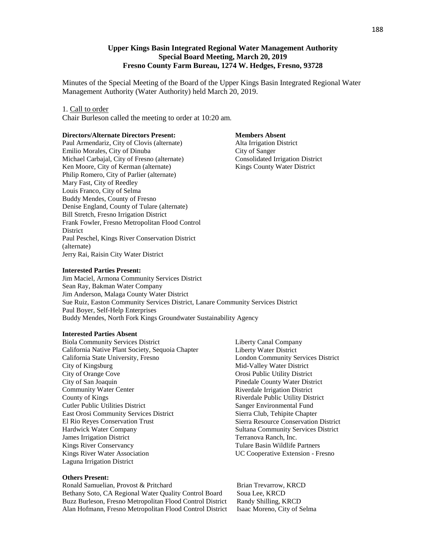## **Upper Kings Basin Integrated Regional Water Management Authority Special Board Meeting, March 20, 2019 Fresno County Farm Bureau, 1274 W. Hedges, Fresno, 93728**

Minutes of the Special Meeting of the Board of the Upper Kings Basin Integrated Regional Water Management Authority (Water Authority) held March 20, 2019.

#### 1. Call to order

Chair Burleson called the meeting to order at 10:20 am.

#### **Directors/Alternate Directors Present:**

Paul Armendariz, City of Clovis (alternate) Emilio Morales, City of Dinuba Michael Carbajal, City of Fresno (alternate) Ken Moore, City of Kerman (alternate) Philip Romero, City of Parlier (alternate) Mary Fast, City of Reedley Louis Franco, City of Selma Buddy Mendes, County of Fresno Denise England, County of Tulare (alternate) Bill Stretch, Fresno Irrigation District Frank Fowler, Fresno Metropolitan Flood Control **District** Paul Peschel, Kings River Conservation District (alternate) Jerry Rai, Raisin City Water District

#### **Members Absent**

Alta Irrigation District City of Sanger Consolidated Irrigation District Kings County Water District

#### **Interested Parties Present:**

Jim Maciel, Armona Community Services District Sean Ray, Bakman Water Company Jim Anderson, Malaga County Water District Sue Ruiz, Easton Community Services District, Lanare Community Services District Paul Boyer, Self-Help Enterprises Buddy Mendes, North Fork Kings Groundwater Sustainability Agency

#### **Interested Parties Absent**

Biola Community Services District California Native Plant Society, Sequoia Chapter California State University, Fresno City of Kingsburg City of Orange Cove City of San Joaquin Community Water Center County of Kings Cutler Public Utilities District East Orosi Community Services District El Rio Reyes Conservation Trust Hardwick Water Company James Irrigation District Kings River Conservancy Kings River Water Association Laguna Irrigation District

### **Others Present:**

Ronald Samuelian, Provost & Pritchard Brian Trevarrow, KRCD Bethany Soto, CA Regional Water Quality Control Board Soua Lee, KRCD Buzz Burleson, Fresno Metropolitan Flood Control District Randy Shilling, KRCD Alan Hofmann, Fresno Metropolitan Flood Control District Isaac Moreno, City of Selma

Liberty Canal Company Liberty Water District London Community Services District Mid-Valley Water District Orosi Public Utility District Pinedale County Water District Riverdale Irrigation District Riverdale Public Utility District Sanger Environmental Fund Sierra Club, Tehipite Chapter Sierra Resource Conservation District Sultana Community Services District Terranova Ranch, Inc. Tulare Basin Wildlife Partners UC Cooperative Extension - Fresno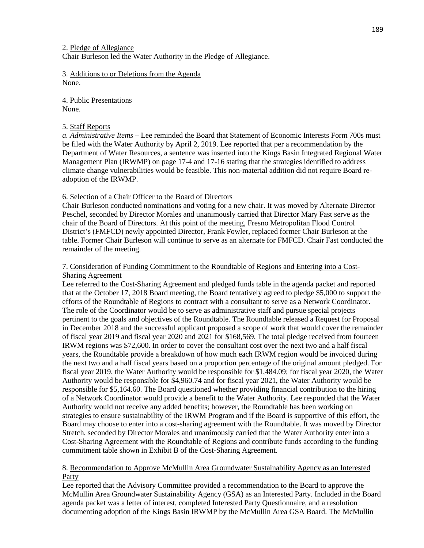2. Pledge of Allegiance Chair Burleson led the Water Authority in the Pledge of Allegiance.

3. Additions to or Deletions from the Agenda None.

4. Public Presentations None.

## 5. Staff Reports

*a. Administrative Items* – Lee reminded the Board that Statement of Economic Interests Form 700s must be filed with the Water Authority by April 2, 2019. Lee reported that per a recommendation by the Department of Water Resources, a sentence was inserted into the Kings Basin Integrated Regional Water Management Plan (IRWMP) on page 17-4 and 17-16 stating that the strategies identified to address climate change vulnerabilities would be feasible. This non-material addition did not require Board readoption of the IRWMP.

## 6. Selection of a Chair Officer to the Board of Directors

Chair Burleson conducted nominations and voting for a new chair. It was moved by Alternate Director Peschel, seconded by Director Morales and unanimously carried that Director Mary Fast serve as the chair of the Board of Directors. At this point of the meeting, Fresno Metropolitan Flood Control District's (FMFCD) newly appointed Director, Frank Fowler, replaced former Chair Burleson at the table. Former Chair Burleson will continue to serve as an alternate for FMFCD. Chair Fast conducted the remainder of the meeting.

## 7. Consideration of Funding Commitment to the Roundtable of Regions and Entering into a Cost-Sharing Agreement

Lee referred to the Cost-Sharing Agreement and pledged funds table in the agenda packet and reported that at the October 17, 2018 Board meeting, the Board tentatively agreed to pledge \$5,000 to support the efforts of the Roundtable of Regions to contract with a consultant to serve as a Network Coordinator. The role of the Coordinator would be to serve as administrative staff and pursue special projects pertinent to the goals and objectives of the Roundtable. The Roundtable released a Request for Proposal in December 2018 and the successful applicant proposed a scope of work that would cover the remainder of fiscal year 2019 and fiscal year 2020 and 2021 for \$168,569. The total pledge received from fourteen IRWM regions was \$72,600. In order to cover the consultant cost over the next two and a half fiscal years, the Roundtable provide a breakdown of how much each IRWM region would be invoiced during the next two and a half fiscal years based on a proportion percentage of the original amount pledged. For fiscal year 2019, the Water Authority would be responsible for \$1,484.09; for fiscal year 2020, the Water Authority would be responsible for \$4,960.74 and for fiscal year 2021, the Water Authority would be responsible for \$5,164.60. The Board questioned whether providing financial contribution to the hiring of a Network Coordinator would provide a benefit to the Water Authority. Lee responded that the Water Authority would not receive any added benefits; however, the Roundtable has been working on strategies to ensure sustainability of the IRWM Program and if the Board is supportive of this effort, the Board may choose to enter into a cost-sharing agreement with the Roundtable. It was moved by Director Stretch, seconded by Director Morales and unanimously carried that the Water Authority enter into a Cost-Sharing Agreement with the Roundtable of Regions and contribute funds according to the funding commitment table shown in Exhibit B of the Cost-Sharing Agreement.

## 8. Recommendation to Approve McMullin Area Groundwater Sustainability Agency as an Interested Party

Lee reported that the Advisory Committee provided a recommendation to the Board to approve the McMullin Area Groundwater Sustainability Agency (GSA) as an Interested Party. Included in the Board agenda packet was a letter of interest, completed Interested Party Questionnaire, and a resolution documenting adoption of the Kings Basin IRWMP by the McMullin Area GSA Board. The McMullin